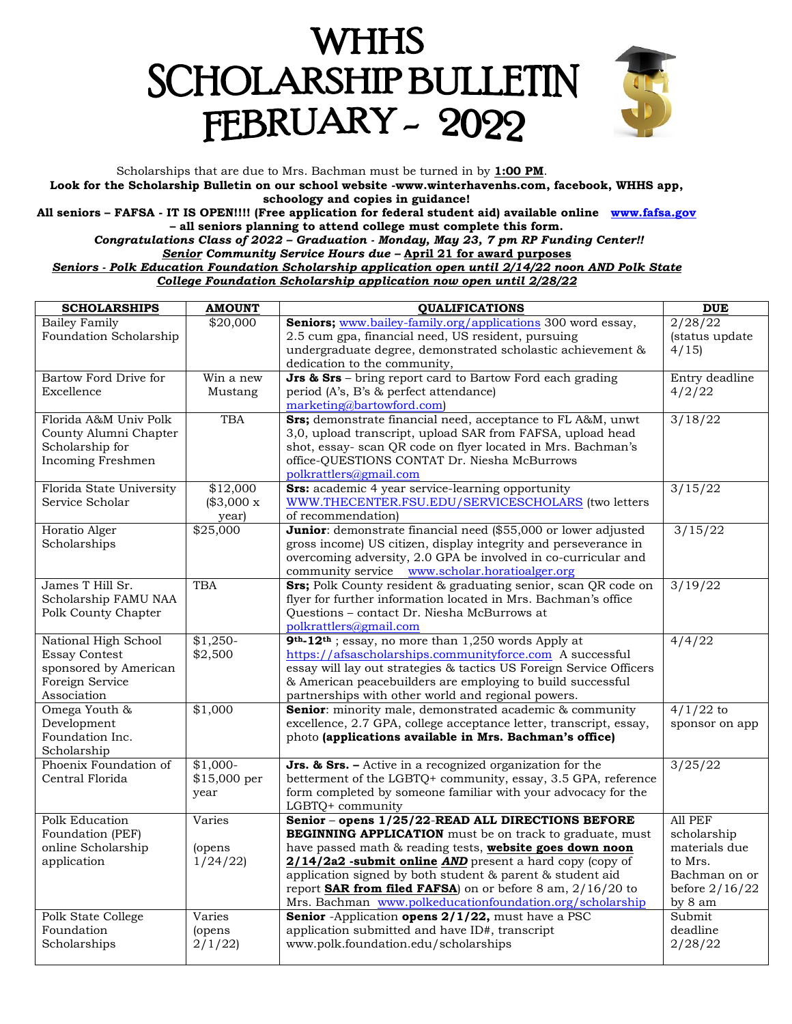# WHHS **SCHOLARSHIP BULLETIN** FEBRUARY - 2022



Scholarships that are due to Mrs. Bachman must be turned in by **1:00 PM**. **Look for the Scholarship Bulletin on our school website -www.winterhavenhs.com, facebook, WHHS app, schoology and copies in guidance!**

**All seniors – FAFSA - IT IS OPEN!!!! (Free application for federal student aid) available online [www.fafsa.gov](http://www.fafsa.gov/) – all seniors planning to attend college must complete this form.**

*Congratulations Class of 2022 – Graduation - Monday, May 23, 7 pm RP Funding Center!! Senior Community Service Hours due –* **April 21 for award purposes**

*Seniors - Polk Education Foundation Scholarship application open until 2/14/22 noon AND Polk State College Foundation Scholarship application now open until 2/28/22*

| <b>SCHOLARSHIPS</b>                      | <b>AMOUNT</b>  | <b>QUALIFICATIONS</b>                                                                                                            | <b>DUE</b>        |
|------------------------------------------|----------------|----------------------------------------------------------------------------------------------------------------------------------|-------------------|
| <b>Bailey Family</b>                     | \$20,000       | Seniors; www.bailey-family.org/applications 300 word essay,                                                                      | $\frac{2}{28/22}$ |
| Foundation Scholarship                   |                | 2.5 cum gpa, financial need, US resident, pursuing                                                                               | (status update    |
|                                          |                | undergraduate degree, demonstrated scholastic achievement &                                                                      | 4/15              |
|                                          |                | dedication to the community,                                                                                                     |                   |
| Bartow Ford Drive for                    | Win a new      | <b>Jrs &amp; Srs</b> – bring report card to Bartow Ford each grading                                                             | Entry deadline    |
| Excellence                               | Mustang        | period (A's, B's & perfect attendance)                                                                                           | 4/2/22            |
| Florida A&M Univ Polk                    | <b>TBA</b>     | marketing@bartowford.com)<br>Srs; demonstrate financial need, acceptance to FL A&M, unwt                                         | 3/18/22           |
| County Alumni Chapter                    |                | 3,0, upload transcript, upload SAR from FAFSA, upload head                                                                       |                   |
| Scholarship for                          |                | shot, essay- scan QR code on flyer located in Mrs. Bachman's                                                                     |                   |
| Incoming Freshmen                        |                | office-QUESTIONS CONTAT Dr. Niesha McBurrows                                                                                     |                   |
|                                          |                | polkrattlers@gmail.com                                                                                                           |                   |
| Florida State University                 | \$12,000       | <b>Srs:</b> academic 4 year service-learning opportunity                                                                         | 3/15/22           |
| Service Scholar                          | (\$3,000 x     | WWW.THECENTER.FSU.EDU/SERVICESCHOLARS (two letters                                                                               |                   |
|                                          | year)          | of recommendation)                                                                                                               |                   |
| Horatio Alger                            | \$25,000       | Junior: demonstrate financial need (\$55,000 or lower adjusted                                                                   | 3/15/22           |
| Scholarships                             |                | gross income) US citizen, display integrity and perseverance in                                                                  |                   |
|                                          |                | overcoming adversity, 2.0 GPA be involved in co-curricular and                                                                   |                   |
|                                          |                | community service www.scholar.horatioalger.org                                                                                   |                   |
| James T Hill Sr.<br>Scholarship FAMU NAA | <b>TBA</b>     | Srs; Polk County resident & graduating senior, scan QR code on<br>flyer for further information located in Mrs. Bachman's office | 3/19/22           |
| Polk County Chapter                      |                | Questions - contact Dr. Niesha McBurrows at                                                                                      |                   |
|                                          |                | polkrattlers@gmail.com                                                                                                           |                   |
| National High School                     | $$1,250-$      | 9 <sup>th</sup> -12 <sup>th</sup> ; essay, no more than 1,250 words Apply at                                                     | 4/4/22            |
| <b>Essay Contest</b>                     | \$2,500        | https://afsascholarships.communityforce.com A successful                                                                         |                   |
| sponsored by American                    |                | essay will lay out strategies & tactics US Foreign Service Officers                                                              |                   |
| Foreign Service                          |                | & American peacebuilders are employing to build successful                                                                       |                   |
| Association                              |                | partnerships with other world and regional powers.                                                                               |                   |
| Omega Youth &                            | \$1,000        | Senior: minority male, demonstrated academic & community                                                                         | $4/1/22$ to       |
| Development                              |                | excellence, 2.7 GPA, college acceptance letter, transcript, essay,                                                               | sponsor on app    |
| Foundation Inc.<br>Scholarship           |                | photo (applications available in Mrs. Bachman's office)                                                                          |                   |
| Phoenix Foundation of                    | $$1,000-$      | <b>Jrs. &amp; Srs.</b> - Active in a recognized organization for the                                                             | 3/25/22           |
| Central Florida                          | \$15,000 per   | betterment of the LGBTQ+ community, essay, 3.5 GPA, reference                                                                    |                   |
|                                          | year           | form completed by someone familiar with your advocacy for the                                                                    |                   |
|                                          |                | LGBTQ+ community                                                                                                                 |                   |
| <b>Polk Education</b>                    | Varies         | Senior - opens 1/25/22-READ ALL DIRECTIONS BEFORE                                                                                | All PEF           |
| Foundation (PEF)                         |                | <b>BEGINNING APPLICATION</b> must be on track to graduate, must                                                                  | scholarship       |
| online Scholarship                       | (opens         | have passed math & reading tests, website goes down noon                                                                         | materials due     |
| application                              | 1/24/22        | 2/14/2a2 -submit online AND present a hard copy (copy of                                                                         | to Mrs.           |
|                                          |                | application signed by both student & parent & student aid                                                                        | Bachman on or     |
|                                          |                | report <b>SAR from filed FAFSA</b> ) on or before 8 am, $2/16/20$ to                                                             | before $2/16/22$  |
| Polk State College                       | Varies         | Mrs. Bachman www.polkeducationfoundation.org/scholarship<br>Senior -Application opens 2/1/22, must have a PSC                    | by 8 am<br>Submit |
| Foundation                               | <i>(opens)</i> | application submitted and have ID#, transcript                                                                                   | deadline          |
| Scholarships                             | 2/1/22         | www.polk.foundation.edu/scholarships                                                                                             | 2/28/22           |
|                                          |                |                                                                                                                                  |                   |